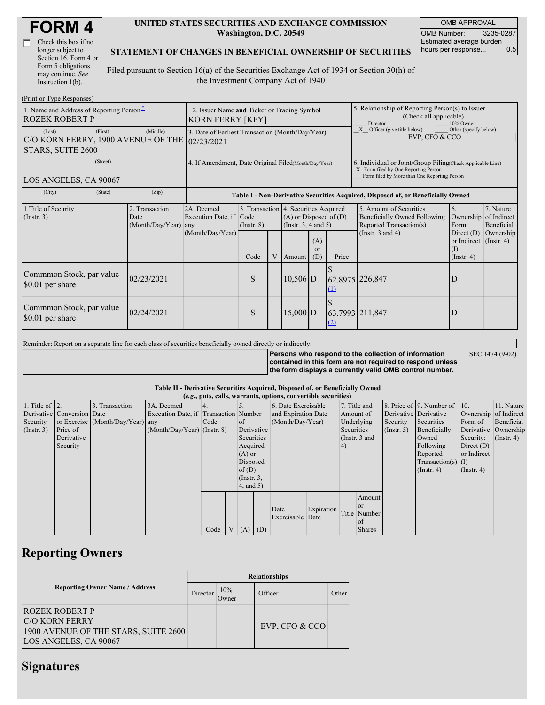| <b>FORM4</b> |
|--------------|
|--------------|

| Check this box if no  |
|-----------------------|
| longer subject to     |
| Section 16. Form 4 or |
| Form 5 obligations    |
| may continue. See     |
| Instruction $1(b)$ .  |

#### **UNITED STATES SECURITIES AND EXCHANGE COMMISSION Washington, D.C. 20549**

OMB APPROVAL OMB Number: 3235-0287 Estimated average burden hours per response... 0.5

### **STATEMENT OF CHANGES IN BENEFICIAL OWNERSHIP OF SECURITIES**

Filed pursuant to Section 16(a) of the Securities Exchange Act of 1934 or Section 30(h) of the Investment Company Act of 1940

| (Print or Type Responses)                                                               |                                                                                                                                                        |                                                                                  |                                                   |        |                             |                                                                                    |                                                                                                                                                    |                                                              |           |  |  |
|-----------------------------------------------------------------------------------------|--------------------------------------------------------------------------------------------------------------------------------------------------------|----------------------------------------------------------------------------------|---------------------------------------------------|--------|-----------------------------|------------------------------------------------------------------------------------|----------------------------------------------------------------------------------------------------------------------------------------------------|--------------------------------------------------------------|-----------|--|--|
| 1. Name and Address of Reporting Person-<br><b>ROZEK ROBERT P</b>                       | 2. Issuer Name and Ticker or Trading Symbol<br><b>KORN FERRY [KFY]</b>                                                                                 |                                                                                  |                                                   |        |                             |                                                                                    | 5. Relationship of Reporting Person(s) to Issuer<br>(Check all applicable)<br>Director<br>10% Owner                                                |                                                              |           |  |  |
| (Last)<br>(First)<br>C/O KORN FERRY, 1900 AVENUE OF THE 02/23/2021<br>STARS, SUITE 2600 | 3. Date of Earliest Transaction (Month/Day/Year)                                                                                                       |                                                                                  |                                                   |        |                             |                                                                                    | X Officer (give title below)<br>Other (specify below)<br>EVP. CFO & CCO                                                                            |                                                              |           |  |  |
| (Street)<br>LOS ANGELES, CA 90067                                                       | 4. If Amendment, Date Original Filed(Month/Day/Year)                                                                                                   |                                                                                  |                                                   |        |                             |                                                                                    | 6. Individual or Joint/Group Filing Check Applicable Line)<br>X Form filed by One Reporting Person<br>Form filed by More than One Reporting Person |                                                              |           |  |  |
| (City)<br>(State)                                                                       | (Zip)                                                                                                                                                  | Table I - Non-Derivative Securities Acquired, Disposed of, or Beneficially Owned |                                                   |        |                             |                                                                                    |                                                                                                                                                    |                                                              |           |  |  |
| 1. Title of Security<br>(Insert. 3)                                                     | 2A. Deemed<br>3. Transaction 4. Securities Acquired<br>2. Transaction<br>Execution Date, if Code<br>Date<br>(Month/Day/Year)<br>$($ Instr. $8)$<br>any |                                                                                  | $(A)$ or Disposed of $(D)$<br>(Instr. 3, 4 and 5) |        |                             | 5. Amount of Securities<br>Beneficially Owned Following<br>Reported Transaction(s) | 6.<br>Form:                                                                                                                                        | 7. Nature<br>Ownership of Indirect<br>Beneficial             |           |  |  |
| (Month/Day/Year)                                                                        |                                                                                                                                                        | Code                                                                             | V                                                 | Amount | (A)<br><sub>or</sub><br>(D) | Price                                                                              | (Instr. $3$ and $4$ )                                                                                                                              | Direct $(D)$<br>or Indirect (Instr. 4)<br>(1)<br>(Insert, 4) | Ownership |  |  |
| Commmon Stock, par value<br>\$0.01 per share                                            | 02/23/2021                                                                                                                                             |                                                                                  | S                                                 |        | $10,506$ D                  |                                                                                    | 62.8975 226,847<br>(1)                                                                                                                             |                                                              | D         |  |  |
| Commmon Stock, par value<br>\$0.01 per share                                            | 02/24/2021                                                                                                                                             |                                                                                  | S                                                 |        | $15,000$ D                  |                                                                                    | 63.7993 211,847<br>(2)                                                                                                                             |                                                              | D         |  |  |

Reminder: Report on a separate line for each class of securities beneficially owned directly or indirectly.

**Persons who respond to the collection of information contained in this form are not required to respond unless the form displays a currently valid OMB control number.** SEC 1474 (9-02)

**Table II - Derivative Securities Acquired, Disposed of, or Beneficially Owned**

| (e.g., puts, calls, warrants, options, convertible securities) |                            |                                  |                                       |      |                |                 |     |                     |                  |               |               |             |                              |                       |                  |
|----------------------------------------------------------------|----------------------------|----------------------------------|---------------------------------------|------|----------------|-----------------|-----|---------------------|------------------|---------------|---------------|-------------|------------------------------|-----------------------|------------------|
| 1. Title of $\vert$ 2.                                         |                            | . Transaction                    | 3A. Deemed                            |      |                |                 |     | 6. Date Exercisable |                  | 7. Title and  |               |             | 8. Price of 9. Number of 10. |                       | 11. Nature       |
|                                                                | Derivative Conversion Date |                                  | Execution Date, if Transaction Number |      |                |                 |     | and Expiration Date |                  | Amount of     |               |             | Derivative Derivative        | Ownership of Indirect |                  |
| Security                                                       |                            | or Exercise (Month/Day/Year) any |                                       | Code |                | <sub>of</sub>   |     |                     | (Month/Day/Year) |               | Underlying    | Security    | Securities                   | Form of               | Beneficial       |
| (Insert. 3)                                                    | Price of                   |                                  | $(Month/Day/Year)$ (Instr. 8)         |      |                | Derivative      |     |                     | Securities       |               |               | (Insert, 5) | Beneficially                 | Derivative Ownership  |                  |
|                                                                | Derivative                 |                                  |                                       |      |                | Securities      |     |                     |                  | (Instr. 3 and |               |             | Owned                        | Security:             | $($ Instr. 4 $)$ |
|                                                                | Security                   |                                  |                                       |      |                | Acquired        |     |                     |                  | 4)            |               |             | Following                    | Direct $(D)$          |                  |
|                                                                |                            |                                  |                                       |      |                | $(A)$ or        |     |                     |                  |               |               |             | Reported                     | or Indirect           |                  |
|                                                                |                            |                                  |                                       |      |                | Disposed        |     |                     |                  |               |               |             | $Transaction(s)$ (I)         |                       |                  |
|                                                                |                            |                                  |                                       |      |                | of $(D)$        |     |                     |                  |               |               |             | $($ Instr. 4 $)$             | $($ Instr. 4 $)$      |                  |
|                                                                |                            |                                  |                                       |      |                | $($ Instr. $3,$ |     |                     |                  |               |               |             |                              |                       |                  |
|                                                                |                            |                                  |                                       |      |                | $4$ , and $5$ ) |     |                     |                  |               |               |             |                              |                       |                  |
|                                                                |                            |                                  |                                       |      |                |                 |     |                     |                  |               | Amount        |             |                              |                       |                  |
|                                                                |                            |                                  |                                       |      |                |                 |     |                     |                  |               | <b>or</b>     |             |                              |                       |                  |
|                                                                |                            |                                  |                                       |      |                |                 |     | Date                | Expiration       |               | Title Number  |             |                              |                       |                  |
|                                                                |                            |                                  |                                       |      |                |                 |     | Exercisable Date    |                  |               | of            |             |                              |                       |                  |
|                                                                |                            |                                  |                                       | Code | V <sub>1</sub> | (A)             | (D) |                     |                  |               | <b>Shares</b> |             |                              |                       |                  |

## **Reporting Owners**

|                                                                                                                  | <b>Relationships</b> |              |                  |       |  |  |  |  |
|------------------------------------------------------------------------------------------------------------------|----------------------|--------------|------------------|-------|--|--|--|--|
| <b>Reporting Owner Name / Address</b>                                                                            | Director             | 10%<br>Owner | Officer          | Other |  |  |  |  |
| <b>ROZEK ROBERT P</b><br><b>IC/O KORN FERRY</b><br>1900 AVENUE OF THE STARS, SUITE 2600<br>LOS ANGELES, CA 90067 |                      |              | EVP, CFO $&$ CCO |       |  |  |  |  |

### **Signatures**